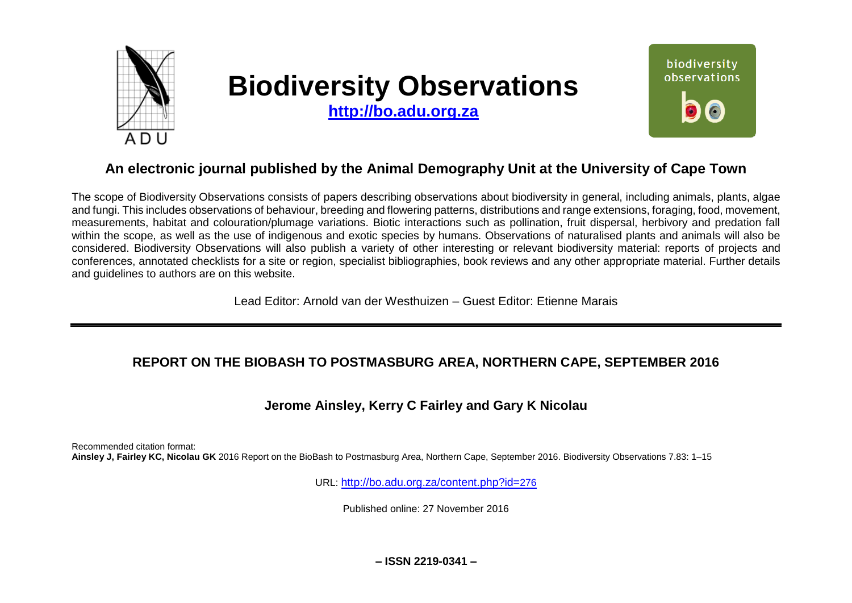

# **Biodiversity Observations**

**[http://bo.adu.org.za](http://bo.adu.org.za/)**



# **An electronic journal published by the Animal Demography Unit at the University of Cape Town**

The scope of Biodiversity Observations consists of papers describing observations about biodiversity in general, including animals, plants, algae and fungi. This includes observations of behaviour, breeding and flowering patterns, distributions and range extensions, foraging, food, movement, measurements, habitat and colouration/plumage variations. Biotic interactions such as pollination, fruit dispersal, herbivory and predation fall within the scope, as well as the use of indigenous and exotic species by humans. Observations of naturalised plants and animals will also be considered. Biodiversity Observations will also publish a variety of other interesting or relevant biodiversity material: reports of projects and conferences, annotated checklists for a site or region, specialist bibliographies, book reviews and any other appropriate material. Further details and guidelines to authors are on this website.

Lead Editor: Arnold van der Westhuizen – Guest Editor: Etienne Marais

## **REPORT ON THE BIOBASH TO POSTMASBURG AREA, NORTHERN CAPE, SEPTEMBER 2016**

## **Jerome Ainsley, Kerry C Fairley and Gary K Nicolau**

Recommended citation format: **Ainsley J, Fairley KC, Nicolau GK** 2016 Report on the BioBash to Postmasburg Area, Northern Cape, September 2016. Biodiversity Observations 7.83: 1–15

URL: [http://bo.adu.org.za/content.php?id=](http://bo.adu.org.za/content.php?id=276)276

Published online: 27 November 2016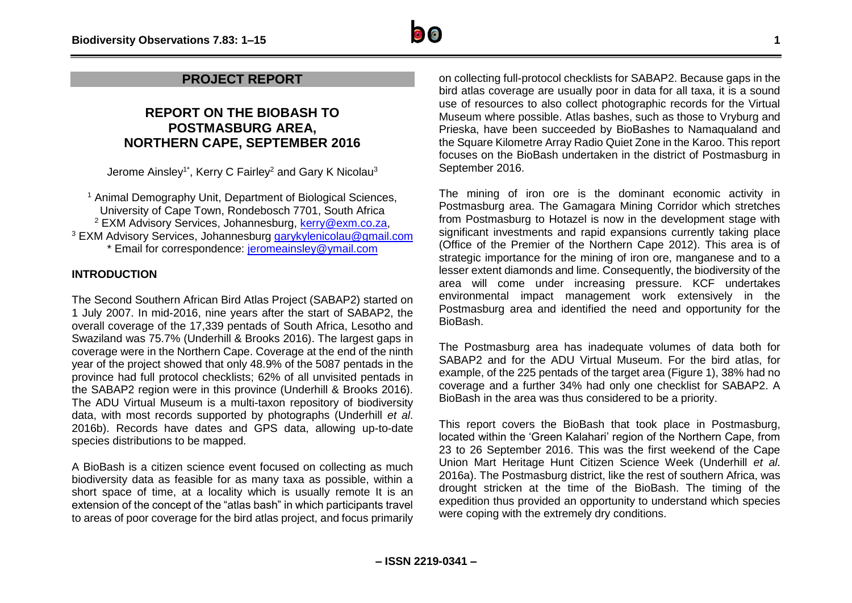## **REPORT ON THE BIOBASH TO POSTMASBURG AREA, NORTHERN CAPE, SEPTEMBER 2016**

Jerome Ainsley<sup>1\*</sup>, Kerry C Fairley<sup>2</sup> and Gary K Nicolau<sup>3</sup>

<sup>1</sup> Animal Demography Unit, Department of Biological Sciences, University of Cape Town, Rondebosch 7701, South Africa <sup>2</sup> EXM Advisory Services, Johannesburg, [kerry@exm.co.za,](mailto:kerry@exm.co.za) <sup>3</sup> EXM Advisory Services, Johannesburg [garykylenicolau@gmail.com](mailto:garykylenicolau@gmail.com) \* Email for correspondence: [jeromeainsley@ymail.com](mailto:jeromeainsley@ymail.com)

### **INTRODUCTION**

The Second Southern African Bird Atlas Project (SABAP2) started on 1 July 2007. In mid-2016, nine years after the start of SABAP2, the overall coverage of the 17,339 pentads of South Africa, Lesotho and Swaziland was 75.7% (Underhill & Brooks 2016). The largest gaps in coverage were in the Northern Cape. Coverage at the end of the ninth year of the project showed that only 48.9% of the 5087 pentads in the province had full protocol checklists; 62% of all unvisited pentads in the SABAP2 region were in this province (Underhill & Brooks 2016). The ADU Virtual Museum is a multi-taxon repository of biodiversity data, with most records supported by photographs (Underhill *et al*. 2016b). Records have dates and GPS data, allowing up-to-date species distributions to be mapped.

A BioBash is a citizen science event focused on collecting as much biodiversity data as feasible for as many taxa as possible, within a short space of time, at a locality which is usually remote It is an extension of the concept of the "atlas bash" in which participants travel to areas of poor coverage for the bird atlas project, and focus primarily

on collecting full-protocol checklists for SABAP2. Because gaps in the bird atlas coverage are usually poor in data for all taxa, it is a sound use of resources to also collect photographic records for the Virtual Museum where possible. Atlas bashes, such as those to Vryburg and Prieska, have been succeeded by BioBashes to Namaqualand and the Square Kilometre Array Radio Quiet Zone in the Karoo. This report focuses on the BioBash undertaken in the district of Postmasburg in September 2016.

The mining of iron ore is the dominant economic activity in Postmasburg area. The Gamagara Mining Corridor which stretches from Postmasburg to Hotazel is now in the development stage with significant investments and rapid expansions currently taking place (Office of the Premier of the Northern Cape 2012). This area is of strategic importance for the mining of iron ore, manganese and to a lesser extent diamonds and lime. Consequently, the biodiversity of the area will come under increasing pressure. KCF undertakes environmental impact management work extensively in the Postmasburg area and identified the need and opportunity for the BioBash.

The Postmasburg area has inadequate volumes of data both for SABAP2 and for the ADU Virtual Museum. For the bird atlas, for example, of the 225 pentads of the target area (Figure 1), 38% had no coverage and a further 34% had only one checklist for SABAP2. A BioBash in the area was thus considered to be a priority.

This report covers the BioBash that took place in Postmasburg, located within the 'Green Kalahari' region of the Northern Cape, from 23 to 26 September 2016. This was the first weekend of the Cape Union Mart Heritage Hunt Citizen Science Week (Underhill *et al*. 2016a). The Postmasburg district, like the rest of southern Africa, was drought stricken at the time of the BioBash. The timing of the expedition thus provided an opportunity to understand which species were coping with the extremely dry conditions.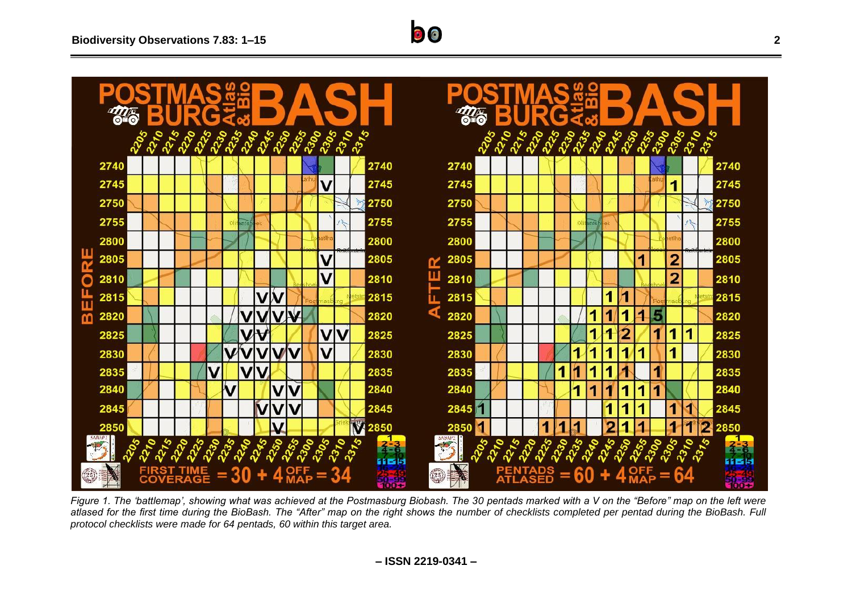

*Figure 1. The 'battlemap', showing what was achieved at the Postmasburg Biobash. The 30 pentads marked with a V on the "Before" map on the left were*  atlased for the first time during the BioBash. The "After" map on the right shows the *number* of checklists completed per pentad during the BioBash. Full *protocol checklists were made for 64 pentads, 60 within this target area.*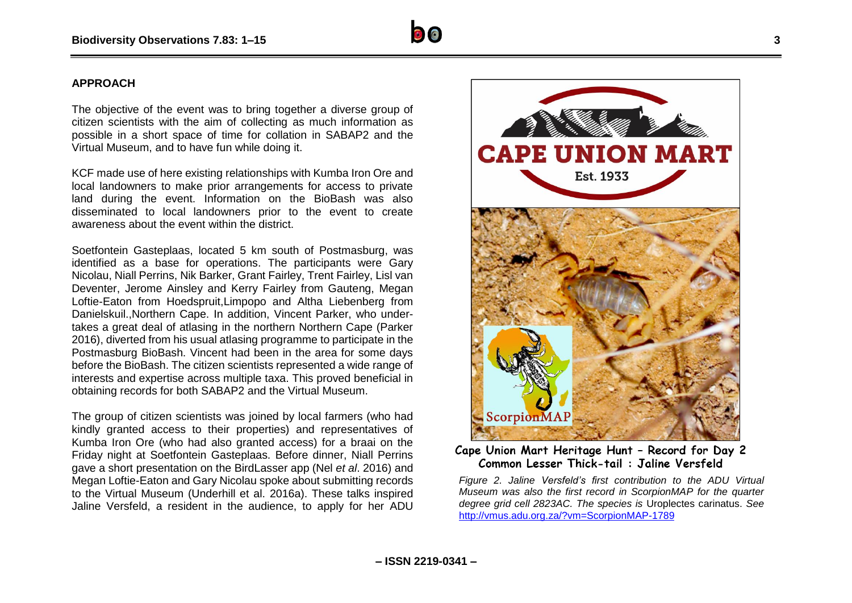#### **APPROACH**

The objective of the event was to bring together a diverse group of citizen scientists with the aim of collecting as much information as possible in a short space of time for collation in SABAP2 and the Virtual Museum, and to have fun while doing it.

KCF made use of here existing relationships with Kumba Iron Ore and local landowners to make prior arrangements for access to private land during the event. Information on the BioBash was also disseminated to local landowners prior to the event to create awareness about the event within the district.

Soetfontein Gasteplaas, located 5 km south of Postmasburg, was identified as a base for operations. The participants were Gary Nicolau, Niall Perrins, Nik Barker, Grant Fairley, Trent Fairley, Lisl van Deventer, Jerome Ainsley and Kerry Fairley from Gauteng, Megan Loftie-Eaton from Hoedspruit,Limpopo and Altha Liebenberg from Danielskuil.,Northern Cape. In addition, Vincent Parker, who undertakes a great deal of atlasing in the northern Northern Cape (Parker 2016), diverted from his usual atlasing programme to participate in the Postmasburg BioBash. Vincent had been in the area for some days before the BioBash. The citizen scientists represented a wide range of interests and expertise across multiple taxa. This proved beneficial in obtaining records for both SABAP2 and the Virtual Museum.

The group of citizen scientists was joined by local farmers (who had kindly granted access to their properties) and representatives of Kumba Iron Ore (who had also granted access) for a braai on the Friday night at Soetfontein Gasteplaas. Before dinner, Niall Perrins gave a short presentation on the BirdLasser app (Nel *et al*. 2016) and Megan Loftie-Eaton and Gary Nicolau spoke about submitting records to the Virtual Museum (Underhill et al. 2016a). These talks inspired Jaline Versfeld, a resident in the audience, to apply for her ADU



Common Lesser Thick-tail: Jaline Versfeld

*Figure 2. Jaline Versfeld's first contribution to the ADU Virtual Museum was also the first record in ScorpionMAP for the quarter degree grid cell 2823AC. The species is* Uroplectes carinatus. *See*  <http://vmus.adu.org.za/?vm=ScorpionMAP-1789>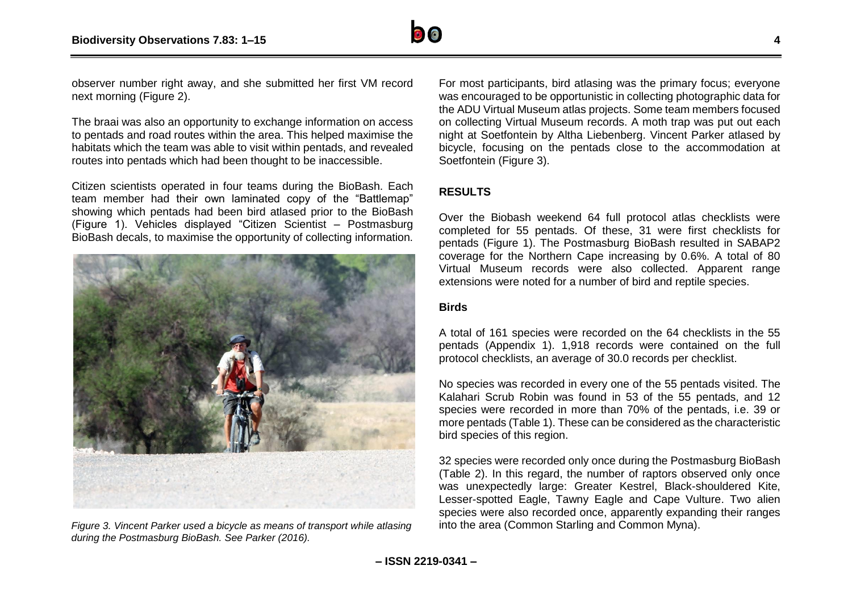

observer number right away, and she submitted her first VM record next morning (Figure 2).

The braai was also an opportunity to exchange information on access to pentads and road routes within the area. This helped maximise the habitats which the team was able to visit within pentads, and revealed routes into pentads which had been thought to be inaccessible.

Citizen scientists operated in four teams during the BioBash. Each team member had their own laminated copy of the "Battlemap" showing which pentads had been bird atlased prior to the BioBash (Figure 1). Vehicles displayed "Citizen Scientist – Postmasburg BioBash decals, to maximise the opportunity of collecting information.



*during the Postmasburg BioBash. See Parker (2016).*

For most participants, bird atlasing was the primary focus; everyone was encouraged to be opportunistic in collecting photographic data for the ADU Virtual Museum atlas projects. Some team members focused on collecting Virtual Museum records. A moth trap was put out each night at Soetfontein by Altha Liebenberg. Vincent Parker atlased by bicycle, focusing on the pentads close to the accommodation at Soetfontein (Figure 3).

## **RESULTS**

Over the Biobash weekend 64 full protocol atlas checklists were completed for 55 pentads. Of these, 31 were first checklists for pentads (Figure 1). The Postmasburg BioBash resulted in SABAP2 coverage for the Northern Cape increasing by 0.6%. A total of 80 Virtual Museum records were also collected. Apparent range extensions were noted for a number of bird and reptile species.

#### **Birds**

A total of 161 species were recorded on the 64 checklists in the 55 pentads (Appendix 1). 1,918 records were contained on the full protocol checklists, an average of 30.0 records per checklist.

No species was recorded in every one of the 55 pentads visited. The Kalahari Scrub Robin was found in 53 of the 55 pentads, and 12 species were recorded in more than 70% of the pentads, i.e. 39 or more pentads (Table 1). These can be considered as the characteristic bird species of this region.

32 species were recorded only once during the Postmasburg BioBash (Table 2). In this regard, the number of raptors observed only once was unexpectedly large: Greater Kestrel, Black-shouldered Kite, Lesser-spotted Eagle, Tawny Eagle and Cape Vulture. Two alien species were also recorded once, apparently expanding their ranges *Figure 3. Vincent Parker used a bicycle as means of transport while atlasing* into the area (Common Starling and Common Myna).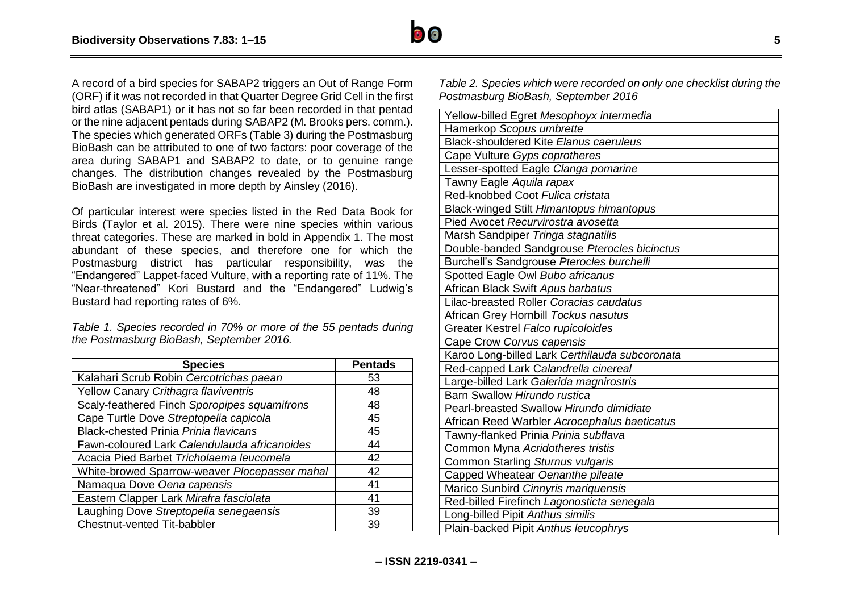

A record of a bird species for SABAP2 triggers an Out of Range Form (ORF) if it was not recorded in that Quarter Degree Grid Cell in the first bird atlas (SABAP1) or it has not so far been recorded in that pentad or the nine adjacent pentads during SABAP2 (M. Brooks pers. comm.). The species which generated ORFs (Table 3) during the Postmasburg BioBash can be attributed to one of two factors: poor coverage of the area during SABAP1 and SABAP2 to date, or to genuine range changes. The distribution changes revealed by the Postmasburg BioBash are investigated in more depth by Ainsley (2016).

Of particular interest were species listed in the Red Data Book for Birds (Taylor et al. 2015). There were nine species within various threat categories. These are marked in bold in Appendix 1. The most abundant of these species, and therefore one for which the Postmasburg district has particular responsibility, was the "Endangered" Lappet-faced Vulture, with a reporting rate of 11%. The "Near-threatened" Kori Bustard and the "Endangered" Ludwig's Bustard had reporting rates of 6%.

*Table 1. Species recorded in 70% or more of the 55 pentads during the Postmasburg BioBash, September 2016.*

| <b>Species</b>                                | <b>Pentads</b> |
|-----------------------------------------------|----------------|
| Kalahari Scrub Robin Cercotrichas paean       | 53             |
| Yellow Canary Crithagra flaviventris          | 48             |
| Scaly-feathered Finch Sporopipes squamifrons  | 48             |
| Cape Turtle Dove Streptopelia capicola        | 45             |
| <b>Black-chested Prinia Prinia flavicans</b>  | 45             |
| Fawn-coloured Lark Calendulauda africanoides  | 44             |
| Acacia Pied Barbet Tricholaema leucomela      | 42             |
| White-browed Sparrow-weaver Plocepasser mahal | 42             |
| Namaqua Dove Oena capensis                    | 41             |
| Eastern Clapper Lark Mirafra fasciolata       | 41             |
| Laughing Dove Streptopelia senegaensis        | 39             |
| Chestnut-vented Tit-babbler                   | 39             |

*Table 2. Species which were recorded on only one checklist during the Postmasburg BioBash, September 2016*

| Yellow-billed Egret Mesophoyx intermedia       |
|------------------------------------------------|
| Hamerkop Scopus umbrette                       |
| <b>Black-shouldered Kite Elanus caeruleus</b>  |
| Cape Vulture Gyps coprotheres                  |
| Lesser-spotted Eagle Clanga pomarine           |
| Tawny Eagle Aquila rapax                       |
| Red-knobbed Coot Fulica cristata               |
| Black-winged Stilt Himantopus himantopus       |
| Pied Avocet Recurvirostra avosetta             |
| Marsh Sandpiper Tringa stagnatilis             |
| Double-banded Sandgrouse Pterocles bicinctus   |
| Burchell's Sandgrouse Pterocles burchelli      |
| Spotted Eagle Owl Bubo africanus               |
| African Black Swift Apus barbatus              |
| Lilac-breasted Roller Coracias caudatus        |
| African Grey Hornbill Tockus nasutus           |
| Greater Kestrel Falco rupicoloides             |
| Cape Crow Corvus capensis                      |
| Karoo Long-billed Lark Certhilauda subcoronata |
| Red-capped Lark Calandrella cinereal           |
| Large-billed Lark Galerida magnirostris        |
| Barn Swallow Hirundo rustica                   |
| Pearl-breasted Swallow Hirundo dimidiate       |
| African Reed Warbler Acrocephalus baeticatus   |
| Tawny-flanked Prinia Prinia subflava           |
| Common Myna Acridotheres tristis               |
| Common Starling Sturnus vulgaris               |
| Capped Wheatear Oenanthe pileate               |
| Marico Sunbird Cinnyris mariquensis            |
| Red-billed Firefinch Lagonosticta senegala     |
| Long-billed Pipit Anthus similis               |
| Plain-backed Pipit Anthus leucophrys           |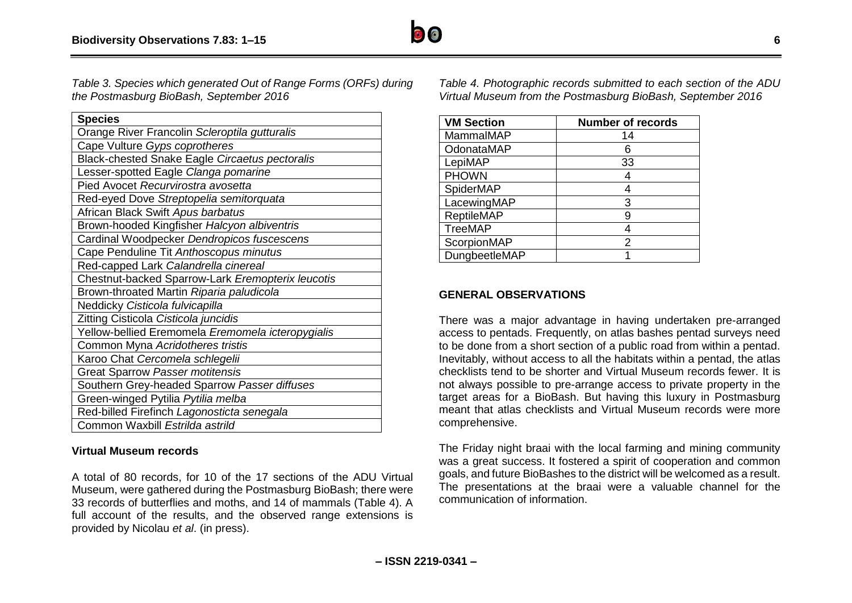*Table 3. Species which generated Out of Range Forms (ORFs) during the Postmasburg BioBash, September 2016*

| <b>Species</b>                                    |
|---------------------------------------------------|
| Orange River Francolin Scleroptila gutturalis     |
| Cape Vulture Gyps coprotheres                     |
| Black-chested Snake Eagle Circaetus pectoralis    |
| Lesser-spotted Eagle Clanga pomarine              |
| Pied Avocet Recurvirostra avosetta                |
| Red-eyed Dove Streptopelia semitorquata           |
| African Black Swift Apus barbatus                 |
| Brown-hooded Kingfisher Halcyon albiventris       |
| Cardinal Woodpecker Dendropicos fuscescens        |
| Cape Penduline Tit Anthoscopus minutus            |
| Red-capped Lark Calandrella cinereal              |
| Chestnut-backed Sparrow-Lark Eremopterix leucotis |
| Brown-throated Martin Riparia paludicola          |
| Neddicky Cisticola fulvicapilla                   |
| Zitting Cisticola Cisticola juncidis              |
| Yellow-bellied Eremomela Eremomela icteropygialis |
| Common Myna Acridotheres tristis                  |
| Karoo Chat Cercomela schlegelii                   |
| Great Sparrow Passer motitensis                   |
| Southern Grey-headed Sparrow Passer diffuses      |
| Green-winged Pytilia Pytilia melba                |
| Red-billed Firefinch Lagonosticta senegala        |
| Common Waxbill Estrilda astrild                   |

#### **Virtual Museum records**

A total of 80 records, for 10 of the 17 sections of the ADU Virtual Museum, were gathered during the Postmasburg BioBash; there were 33 records of butterflies and moths, and 14 of mammals (Table 4). A full account of the results, and the observed range extensions is provided by Nicolau *et al*. (in press).

*Table 4. Photographic records submitted to each section of the ADU Virtual Museum from the Postmasburg BioBash, September 2016*

| <b>VM Section</b> | <b>Number of records</b> |
|-------------------|--------------------------|
| MammaIMAP         | 14                       |
| OdonataMAP        |                          |
| LepiMAP           | 33                       |
| <b>PHOWN</b>      |                          |
| SpiderMAP         |                          |
| LacewingMAP       | 3                        |
| <b>ReptileMAP</b> | 9                        |
| <b>TreeMAP</b>    |                          |
| ScorpionMAP       | 2                        |
| DungbeetleMAP     |                          |

#### **GENERAL OBSERVATIONS**

There was a major advantage in having undertaken pre-arranged access to pentads. Frequently, on atlas bashes pentad surveys need to be done from a short section of a public road from within a pentad. Inevitably, without access to all the habitats within a pentad, the atlas checklists tend to be shorter and Virtual Museum records fewer. It is not always possible to pre-arrange access to private property in the target areas for a BioBash. But having this luxury in Postmasburg meant that atlas checklists and Virtual Museum records were more comprehensive.

The Friday night braai with the local farming and mining community was a great success. It fostered a spirit of cooperation and common goals, and future BioBashes to the district will be welcomed as a result. The presentations at the braai were a valuable channel for the communication of information.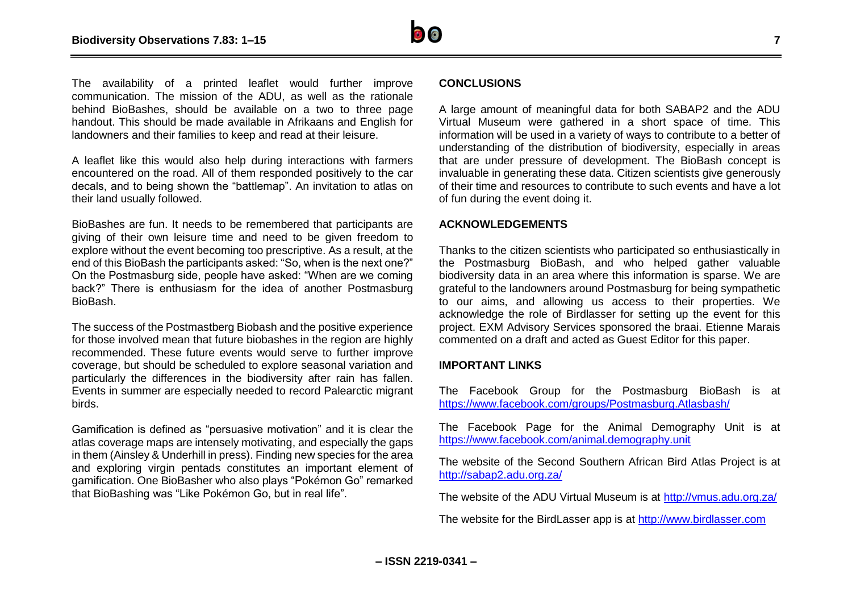

The availability of a printed leaflet would further improve communication. The mission of the ADU, as well as the rationale behind BioBashes, should be available on a two to three page handout. This should be made available in Afrikaans and English for landowners and their families to keep and read at their leisure.

A leaflet like this would also help during interactions with farmers encountered on the road. All of them responded positively to the car decals, and to being shown the "battlemap". An invitation to atlas on their land usually followed.

BioBashes are fun. It needs to be remembered that participants are giving of their own leisure time and need to be given freedom to explore without the event becoming too prescriptive. As a result, at the end of this BioBash the participants asked: "So, when is the next one?" On the Postmasburg side, people have asked: "When are we coming back?" There is enthusiasm for the idea of another Postmasburg BioBash.

The success of the Postmastberg Biobash and the positive experience for those involved mean that future biobashes in the region are highly recommended. These future events would serve to further improve coverage, but should be scheduled to explore seasonal variation and particularly the differences in the biodiversity after rain has fallen. Events in summer are especially needed to record Palearctic migrant birds.

Gamification is defined as "persuasive motivation" and it is clear the atlas coverage maps are intensely motivating, and especially the gaps in them (Ainsley & Underhill in press). Finding new species for the area and exploring virgin pentads constitutes an important element of gamification. One BioBasher who also plays "Pokémon Go" remarked that BioBashing was "Like Pokémon Go, but in real life".

#### **CONCLUSIONS**

A large amount of meaningful data for both SABAP2 and the ADU Virtual Museum were gathered in a short space of time. This information will be used in a variety of ways to contribute to a better of understanding of the distribution of biodiversity, especially in areas that are under pressure of development. The BioBash concept is invaluable in generating these data. Citizen scientists give generously of their time and resources to contribute to such events and have a lot of fun during the event doing it.

#### **ACKNOWLEDGEMENTS**

Thanks to the citizen scientists who participated so enthusiastically in the Postmasburg BioBash, and who helped gather valuable biodiversity data in an area where this information is sparse. We are grateful to the landowners around Postmasburg for being sympathetic to our aims, and allowing us access to their properties. We acknowledge the role of Birdlasser for setting up the event for this project. EXM Advisory Services sponsored the braai. Etienne Marais commented on a draft and acted as Guest Editor for this paper.

#### **IMPORTANT LINKS**

The Facebook Group for the Postmasburg BioBash is at <https://www.facebook.com/groups/Postmasburg.Atlasbash/>

The Facebook Page for the Animal Demography Unit is at <https://www.facebook.com/animal.demography.unit>

The website of the Second Southern African Bird Atlas Project is at <http://sabap2.adu.org.za/>

The website of the ADU Virtual Museum is at<http://vmus.adu.org.za/>

The website for the BirdLasser app is at [http://www.birdlasser.com](http://www.birdlasser.com/)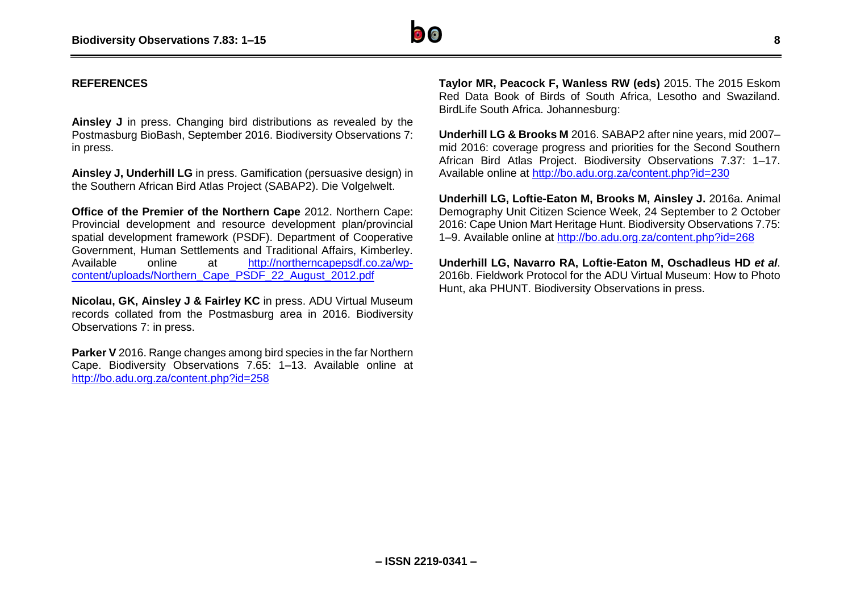

#### **REFERENCES**

**Ainsley J** in press. Changing bird distributions as revealed by the Postmasburg BioBash, September 2016. Biodiversity Observations 7: in press.

**Ainsley J, Underhill LG** in press. Gamification (persuasive design) in the Southern African Bird Atlas Project (SABAP2). Die Volgelwelt.

**Office of the Premier of the Northern Cape** 2012. Northern Cape: Provincial development and resource development plan/provincial spatial development framework (PSDF). Department of Cooperative Government, Human Settlements and Traditional Affairs, Kimberley. Available online at [http://northerncapepsdf.co.za/wp](http://northerncapepsdf.co.za/wp-content/uploads/Northern_Cape_PSDF_22_August_2012.pdf)[content/uploads/Northern\\_Cape\\_PSDF\\_22\\_August\\_2012.pdf](http://northerncapepsdf.co.za/wp-content/uploads/Northern_Cape_PSDF_22_August_2012.pdf)

**Nicolau, GK, Ainsley J & Fairley KC** in press. ADU Virtual Museum records collated from the Postmasburg area in 2016. Biodiversity Observations 7: in press.

**Parker V** 2016. Range changes among bird species in the far Northern Cape. Biodiversity Observations 7.65: 1–13. Available online at <http://bo.adu.org.za/content.php?id=258>

**Taylor MR, Peacock F, Wanless RW (eds)** 2015. The 2015 Eskom Red Data Book of Birds of South Africa, Lesotho and Swaziland. BirdLife South Africa. Johannesburg:

**Underhill LG & Brooks M** 2016. SABAP2 after nine years, mid 2007– mid 2016: coverage progress and priorities for the Second Southern African Bird Atlas Project. Biodiversity Observations 7.37: 1–17. Available online at<http://bo.adu.org.za/content.php?id=230>

**Underhill LG, Loftie-Eaton M, Brooks M, Ainsley J.** 2016a. Animal Demography Unit Citizen Science Week, 24 September to 2 October 2016: Cape Union Mart Heritage Hunt. Biodiversity Observations 7.75: 1–9. Available online at<http://bo.adu.org.za/content.php?id=268>

**Underhill LG, Navarro RA, Loftie-Eaton M, Oschadleus HD** *et al*. 2016b. Fieldwork Protocol for the ADU Virtual Museum: How to Photo Hunt, aka PHUNT. Biodiversity Observations in press.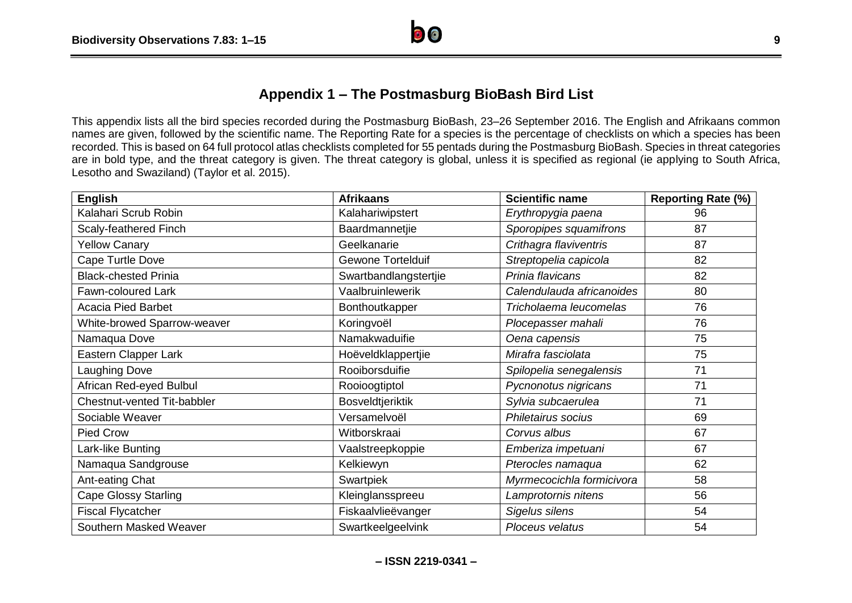

# **Appendix 1 – The Postmasburg BioBash Bird List**

This appendix lists all the bird species recorded during the Postmasburg BioBash, 23–26 September 2016. The English and Afrikaans common names are given, followed by the scientific name. The Reporting Rate for a species is the percentage of checklists on which a species has been recorded. This is based on 64 full protocol atlas checklists completed for 55 pentads during the Postmasburg BioBash. Species in threat categories are in bold type, and the threat category is given. The threat category is global, unless it is specified as regional (ie applying to South Africa, Lesotho and Swaziland) (Taylor et al. 2015).

| <b>English</b>              | <b>Afrikaans</b>         | <b>Scientific name</b>    | <b>Reporting Rate (%)</b> |
|-----------------------------|--------------------------|---------------------------|---------------------------|
| Kalahari Scrub Robin        | Kalahariwipstert         | Erythropygia paena        | 96                        |
| Scaly-feathered Finch       | Baardmannetjie           | Sporopipes squamifrons    | 87                        |
| <b>Yellow Canary</b>        | Geelkanarie              | Crithagra flaviventris    | 87                        |
| Cape Turtle Dove            | <b>Gewone Tortelduif</b> | Streptopelia capicola     | 82                        |
| <b>Black-chested Prinia</b> | Swartbandlangstertjie    | Prinia flavicans          | 82                        |
| Fawn-coloured Lark          | Vaalbruinlewerik         | Calendulauda africanoides | 80                        |
| <b>Acacia Pied Barbet</b>   | Bonthoutkapper           | Tricholaema leucomelas    | 76                        |
| White-browed Sparrow-weaver | Koringvoël               | Plocepasser mahali        | 76                        |
| Namaqua Dove                | Namakwaduifie            | Oena capensis             | 75                        |
| Eastern Clapper Lark        | Hoëveldklappertjie       | Mirafra fasciolata        | 75                        |
| <b>Laughing Dove</b>        | Rooiborsduifie           | Spilopelia senegalensis   | 71                        |
| African Red-eyed Bulbul     | Rooioogtiptol            | Pycnonotus nigricans      | 71                        |
| Chestnut-vented Tit-babbler | Bosveldtjeriktik         | Sylvia subcaerulea        | 71                        |
| Sociable Weaver             | Versamelvoël             | Philetairus socius        | 69                        |
| Pied Crow                   | Witborskraai             | Corvus albus              | 67                        |
| Lark-like Bunting           | Vaalstreepkoppie         | Emberiza impetuani        | 67                        |
| Namaqua Sandgrouse          | Kelkiewyn                | Pterocles namaqua         | 62                        |
| Ant-eating Chat             | Swartpiek                | Myrmecocichla formicivora | 58                        |
| <b>Cape Glossy Starling</b> | Kleinglansspreeu         | Lamprotornis nitens       | 56                        |
| <b>Fiscal Flycatcher</b>    | Fiskaalvlieëvanger       | Sigelus silens            | 54                        |
| Southern Masked Weaver      | Swartkeelgeelvink        | Ploceus velatus           | 54                        |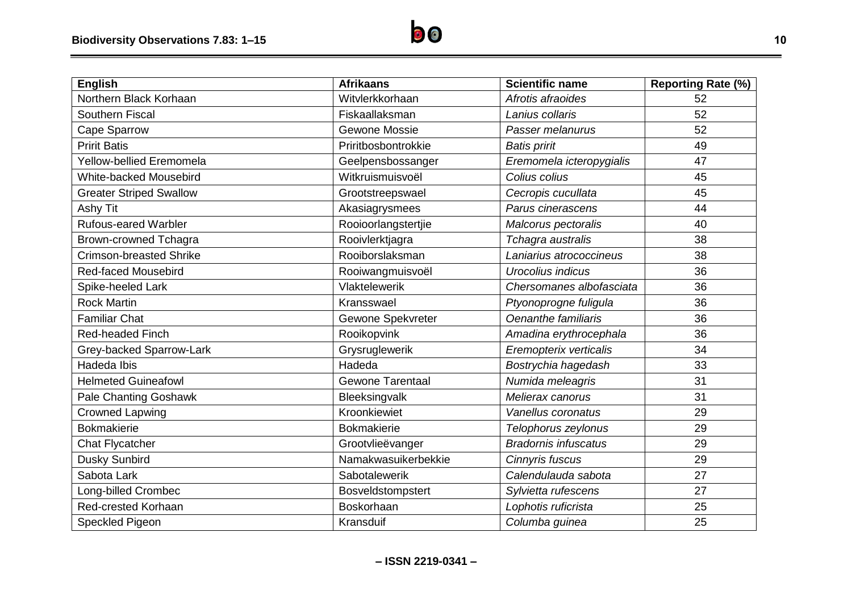| <b>English</b>                  | <b>Afrikaans</b>        | <b>Scientific name</b>      | <b>Reporting Rate (%)</b> |
|---------------------------------|-------------------------|-----------------------------|---------------------------|
| Northern Black Korhaan          | Witvlerkkorhaan         | Afrotis afraoides           | 52                        |
| <b>Southern Fiscal</b>          | Fiskaallaksman          | Lanius collaris             | 52                        |
| Cape Sparrow                    | Gewone Mossie           | Passer melanurus            | 52                        |
| <b>Pririt Batis</b>             | Priritbosbontrokkie     | <b>Batis pririt</b>         | 49                        |
| <b>Yellow-bellied Eremomela</b> | Geelpensbossanger       | Eremomela icteropygialis    | 47                        |
| <b>White-backed Mousebird</b>   | Witkruismuisvoël        | Colius colius               | 45                        |
| <b>Greater Striped Swallow</b>  | Grootstreepswael        | Cecropis cucullata          | 45                        |
| Ashy Tit                        | Akasiagrysmees          | Parus cinerascens           | 44                        |
| <b>Rufous-eared Warbler</b>     | Rooioorlangstertjie     | Malcorus pectoralis         | 40                        |
| <b>Brown-crowned Tchagra</b>    | Rooivlerktjagra         | Tchagra australis           | 38                        |
| <b>Crimson-breasted Shrike</b>  | Rooiborslaksman         | Laniarius atrococcineus     | 38                        |
| <b>Red-faced Mousebird</b>      | Rooiwangmuisvoël        | Urocolius indicus           | 36                        |
| Spike-heeled Lark               | Vlaktelewerik           | Chersomanes albofasciata    | 36                        |
| <b>Rock Martin</b>              | Kransswael              | Ptyonoprogne fuligula       | 36                        |
| <b>Familiar Chat</b>            | Gewone Spekvreter       | Oenanthe familiaris         | 36                        |
| <b>Red-headed Finch</b>         | Rooikopvink             | Amadina erythrocephala      | 36                        |
| Grey-backed Sparrow-Lark        | Grysruglewerik          | Eremopterix verticalis      | 34                        |
| Hadeda Ibis                     | Hadeda                  | Bostrychia hagedash         | 33                        |
| <b>Helmeted Guineafowl</b>      | <b>Gewone Tarentaal</b> | Numida meleagris            | 31                        |
| <b>Pale Chanting Goshawk</b>    | Bleeksingvalk           | Melierax canorus            | 31                        |
| <b>Crowned Lapwing</b>          | Kroonkiewiet            | Vanellus coronatus          | 29                        |
| <b>Bokmakierie</b>              | <b>Bokmakierie</b>      | Telophorus zeylonus         | 29                        |
| <b>Chat Flycatcher</b>          | Grootvlieëvanger        | <b>Bradornis infuscatus</b> | 29                        |
| Dusky Sunbird                   | Namakwasuikerbekkie     | Cinnyris fuscus             | 29                        |
| Sabota Lark                     | Sabotalewerik           | Calendulauda sabota         | 27                        |
| Long-billed Crombec             | Bosveldstompstert       | Sylvietta rufescens         | 27                        |
| Red-crested Korhaan             | Boskorhaan              | Lophotis ruficrista         | 25                        |
| Speckled Pigeon                 | Kransduif               | Columba guinea              | 25                        |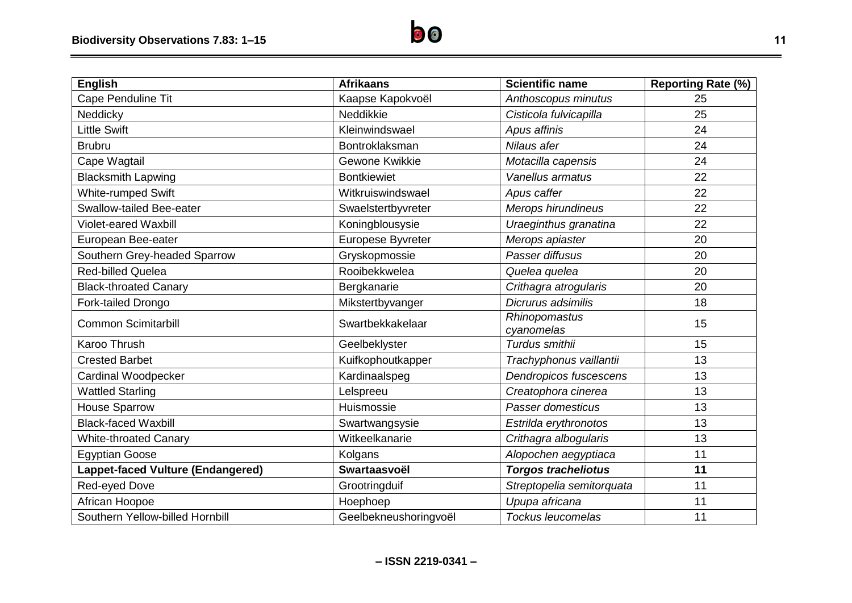| <b>English</b>                    | <b>Afrikaans</b>      | <b>Scientific name</b>      | <b>Reporting Rate (%)</b> |
|-----------------------------------|-----------------------|-----------------------------|---------------------------|
| Cape Penduline Tit                | Kaapse Kapokvoël      | Anthoscopus minutus         | 25                        |
| Neddicky                          | Neddikkie             | Cisticola fulvicapilla      | 25                        |
| <b>Little Swift</b>               | Kleinwindswael        | Apus affinis                | 24                        |
| <b>Brubru</b>                     | Bontroklaksman        | Nilaus afer                 | 24                        |
| Cape Wagtail                      | Gewone Kwikkie        | Motacilla capensis          | 24                        |
| <b>Blacksmith Lapwing</b>         | <b>Bontkiewiet</b>    | Vanellus armatus            | 22                        |
| <b>White-rumped Swift</b>         | Witkruiswindswael     | Apus caffer                 | 22                        |
| <b>Swallow-tailed Bee-eater</b>   | Swaelstertbyvreter    | Merops hirundineus          | 22                        |
| <b>Violet-eared Waxbill</b>       | Koningblousysie       | Uraeginthus granatina       | 22                        |
| European Bee-eater                | Europese Byvreter     | Merops apiaster             | 20                        |
| Southern Grey-headed Sparrow      | Gryskopmossie         | Passer diffusus             | 20                        |
| <b>Red-billed Quelea</b>          | Rooibekkwelea         | Quelea quelea               | 20                        |
| <b>Black-throated Canary</b>      | Bergkanarie           | Crithagra atrogularis       | 20                        |
| Fork-tailed Drongo                | Mikstertbyvanger      | Dicrurus adsimilis          | 18                        |
| <b>Common Scimitarbill</b>        | Swartbekkakelaar      | Rhinopomastus<br>cyanomelas | 15                        |
| <b>Karoo Thrush</b>               | Geelbeklyster         | Turdus smithii              | 15                        |
| <b>Crested Barbet</b>             | Kuifkophoutkapper     | Trachyphonus vaillantii     | 13                        |
| <b>Cardinal Woodpecker</b>        | Kardinaalspeg         | Dendropicos fuscescens      | 13                        |
| <b>Wattled Starling</b>           | Lelspreeu             | Creatophora cinerea         | 13                        |
| <b>House Sparrow</b>              | Huismossie            | Passer domesticus           | 13                        |
| <b>Black-faced Waxbill</b>        | Swartwangsysie        | Estrilda erythronotos       | 13                        |
| <b>White-throated Canary</b>      | Witkeelkanarie        | Crithagra albogularis       | 13                        |
| <b>Egyptian Goose</b>             | Kolgans               | Alopochen aegyptiaca        | 11                        |
| Lappet-faced Vulture (Endangered) | Swartaasvoël          | <b>Torgos tracheliotus</b>  | 11                        |
| Red-eyed Dove                     | Grootringduif         | Streptopelia semitorquata   | 11                        |
| African Hoopoe                    | Hoephoep              | Upupa africana              | 11                        |
| Southern Yellow-billed Hornbill   | Geelbekneushoringvoël | <b>Tockus leucomelas</b>    | 11                        |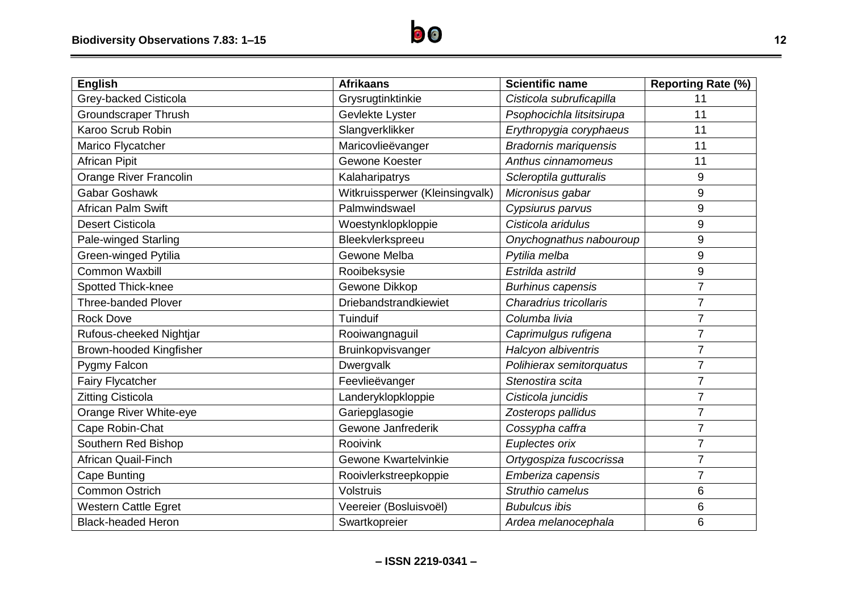| <b>English</b>              | <b>Afrikaans</b>                | <b>Scientific name</b>       | <b>Reporting Rate (%)</b> |
|-----------------------------|---------------------------------|------------------------------|---------------------------|
| Grey-backed Cisticola       | Grysrugtinktinkie               | Cisticola subruficapilla     | 11                        |
| <b>Groundscraper Thrush</b> | Gevlekte Lyster                 | Psophocichla litsitsirupa    | 11                        |
| Karoo Scrub Robin           | Slangverklikker                 | Erythropygia coryphaeus      | 11                        |
| Marico Flycatcher           | Maricovlieëvanger               | <b>Bradornis mariquensis</b> | 11                        |
| <b>African Pipit</b>        | Gewone Koester                  | Anthus cinnamomeus           | 11                        |
| Orange River Francolin      | Kalaharipatrys                  | Scleroptila gutturalis       | 9                         |
| Gabar Goshawk               | Witkruissperwer (Kleinsingvalk) | Micronisus gabar             | $9\,$                     |
| African Palm Swift          | Palmwindswael                   | Cypsiurus parvus             | 9                         |
| <b>Desert Cisticola</b>     | Woestynklopkloppie              | Cisticola aridulus           | 9                         |
| Pale-winged Starling        | Bleekvlerkspreeu                | Onychognathus nabouroup      | 9                         |
| Green-winged Pytilia        | Gewone Melba                    | Pytilia melba                | 9                         |
| <b>Common Waxbill</b>       | Rooibeksysie                    | Estrilda astrild             | $\boldsymbol{9}$          |
| Spotted Thick-knee          | Gewone Dikkop                   | <b>Burhinus capensis</b>     | $\overline{7}$            |
| <b>Three-banded Plover</b>  | Driebandstrandkiewiet           | Charadrius tricollaris       | $\overline{7}$            |
| <b>Rock Dove</b>            | Tuinduif                        | Columba livia                | $\overline{7}$            |
| Rufous-cheeked Nightjar     | Rooiwangnaguil                  | Caprimulgus rufigena         | $\overline{7}$            |
| Brown-hooded Kingfisher     | Bruinkopvisvanger               | Halcyon albiventris          | $\overline{7}$            |
| Pygmy Falcon                | Dwergvalk                       | Polihierax semitorquatus     | $\overline{7}$            |
| <b>Fairy Flycatcher</b>     | Feevlieëvanger                  | Stenostira scita             | $\overline{7}$            |
| <b>Zitting Cisticola</b>    | Landeryklopkloppie              | Cisticola juncidis           | $\overline{7}$            |
| Orange River White-eye      | Gariepglasogie                  | Zosterops pallidus           | $\overline{7}$            |
| Cape Robin-Chat             | Gewone Janfrederik              | Cossypha caffra              | $\overline{7}$            |
| Southern Red Bishop         | Rooivink                        | Euplectes orix               | 7                         |
| <b>African Quail-Finch</b>  | Gewone Kwartelvinkie            | Ortygospiza fuscocrissa      | $\overline{7}$            |
| <b>Cape Bunting</b>         | Rooivlerkstreepkoppie           | Emberiza capensis            | $\overline{7}$            |
| <b>Common Ostrich</b>       | <b>Volstruis</b>                | Struthio camelus             | $6\phantom{1}6$           |
| <b>Western Cattle Egret</b> | Veereier (Bosluisvoël)          | <b>Bubulcus ibis</b>         | 6                         |
| <b>Black-headed Heron</b>   | Swartkopreier                   | Ardea melanocephala          | 6                         |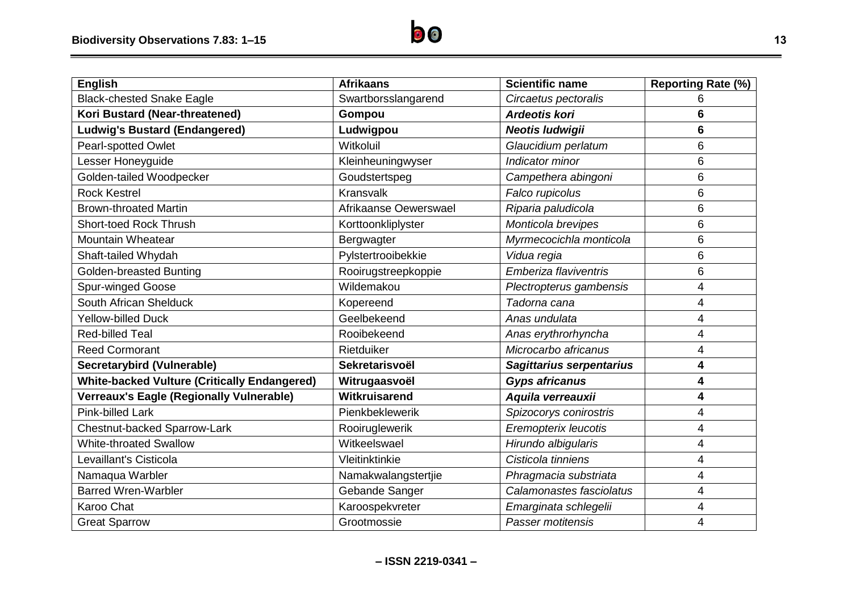| <b>English</b>                                      | <b>Afrikaans</b>      | <b>Scientific name</b>   | <b>Reporting Rate (%)</b> |
|-----------------------------------------------------|-----------------------|--------------------------|---------------------------|
| <b>Black-chested Snake Eagle</b>                    | Swartborsslangarend   | Circaetus pectoralis     | 6                         |
| Kori Bustard (Near-threatened)                      | Gompou                | <b>Ardeotis kori</b>     | 6                         |
| <b>Ludwig's Bustard (Endangered)</b>                | Ludwigpou             | <b>Neotis ludwigii</b>   | 6                         |
| Pearl-spotted Owlet                                 | Witkoluil             | Glaucidium perlatum      | 6                         |
| Lesser Honeyguide                                   | Kleinheuningwyser     | Indicator minor          | 6                         |
| Golden-tailed Woodpecker                            | Goudstertspeg         | Campethera abingoni      | 6                         |
| <b>Rock Kestrel</b>                                 | <b>Kransvalk</b>      | Falco rupicolus          | 6                         |
| <b>Brown-throated Martin</b>                        | Afrikaanse Oewerswael | Riparia paludicola       | 6                         |
| <b>Short-toed Rock Thrush</b>                       | Korttoonkliplyster    | Monticola brevipes       | 6                         |
| <b>Mountain Wheatear</b>                            | Bergwagter            | Myrmecocichla monticola  | 6                         |
| Shaft-tailed Whydah                                 | Pylstertrooibekkie    | Vidua regia              | 6                         |
| <b>Golden-breasted Bunting</b>                      | Rooirugstreepkoppie   | Emberiza flaviventris    | 6                         |
| Spur-winged Goose                                   | Wildemakou            | Plectropterus gambensis  | 4                         |
| South African Shelduck                              | Kopereend             | Tadorna cana             | 4                         |
| <b>Yellow-billed Duck</b>                           | Geelbekeend           | Anas undulata            | 4                         |
| <b>Red-billed Teal</b>                              | Rooibekeend           | Anas erythrorhyncha      | 4                         |
| <b>Reed Cormorant</b>                               | Rietduiker            | Microcarbo africanus     | 4                         |
| Secretarybird (Vulnerable)                          | Sekretarisvoël        | Sagittarius serpentarius | 4                         |
| <b>White-backed Vulture (Critically Endangered)</b> | Witrugaasvoël         | <b>Gyps africanus</b>    | 4                         |
| <b>Verreaux's Eagle (Regionally Vulnerable)</b>     | Witkruisarend         | Aquila verreauxii        | 4                         |
| <b>Pink-billed Lark</b>                             | Pienkbeklewerik       | Spizocorys conirostris   | 4                         |
| <b>Chestnut-backed Sparrow-Lark</b>                 | Rooiruglewerik        | Eremopterix leucotis     | 4                         |
| <b>White-throated Swallow</b>                       | Witkeelswael          | Hirundo albigularis      | 4                         |
| Levaillant's Cisticola                              | Vleitinktinkie        | Cisticola tinniens       | 4                         |
| Namaqua Warbler                                     | Namakwalangstertjie   | Phragmacia substriata    | 4                         |
| <b>Barred Wren-Warbler</b>                          | Gebande Sanger        | Calamonastes fasciolatus | 4                         |
| Karoo Chat                                          | Karoospekvreter       | Emarginata schlegelii    | 4                         |
| <b>Great Sparrow</b>                                | Grootmossie           | Passer motitensis        | 4                         |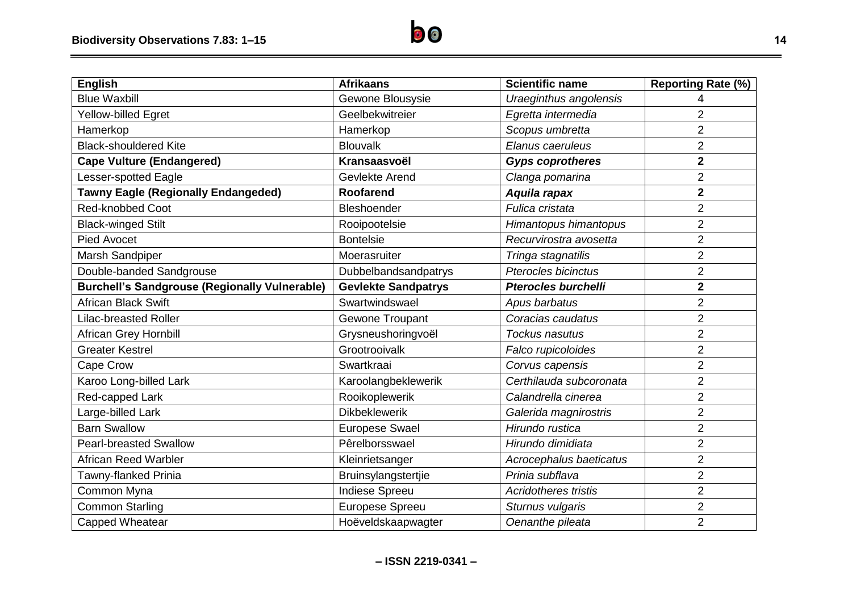